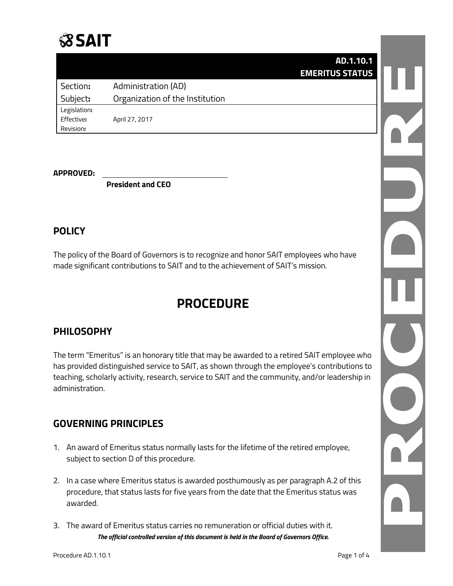# **SSAIT**

|              |                                 | AD.1.10.1              |
|--------------|---------------------------------|------------------------|
|              |                                 | <b>EMERITUS STATUS</b> |
| Section:     | Administration (AD)             |                        |
| Subject:     | Organization of the Institution |                        |
| Legislation: |                                 |                        |
| Effective:   | April 27, 2017                  |                        |
| Revision:    |                                 |                        |

#### **APPROVED:**

**President and CEO**

## **POLICY**

The policy of the Board of Governors is to recognize and honor SAIT employees who have made significant contributions to SAIT and to the achievement of SAIT's mission.

## **PROCEDURE**

## **PHILOSOPHY**

The term "Emeritus" is an honorary title that may be awarded to a retired SAIT employee who has provided distinguished service to SAIT, as shown through the employee's contributions to teaching, scholarly activity, research, service to SAIT and the community, and/or leadership in administration.

## **GOVERNING PRINCIPLES**

- 1. An award of Emeritus status normally lasts for the lifetime of the retired employee, subject to section D of this procedure.
- 2. In a case where Emeritus status is awarded posthumously as per paragraph A.2 of this procedure, that status lasts for five years from the date that the Emeritus status was awarded.
- *The official controlled version of this document is held in the Board of Governors Office.* 3. The award of Emeritus status carries no remuneration or official duties with it.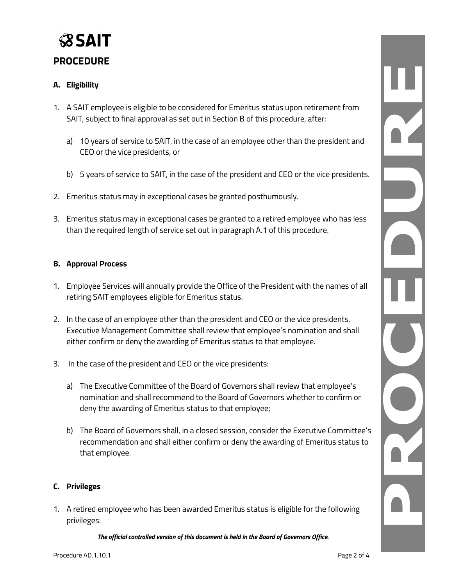

### **PROCEDURE**

#### **A. Eligibility**

- 1. A SAIT employee is eligible to be considered for Emeritus status upon retirement from SAIT, subject to final approval as set out in Section B of this procedure, after:
	- a) 10 years of service to SAIT, in the case of an employee other than the president and CEO or the vice presidents, or
	- b) 5 years of service to SAIT, in the case of the president and CEO or the vice presidents.
- 2. Emeritus status may in exceptional cases be granted posthumously.
- 3. Emeritus status may in exceptional cases be granted to a retired employee who has less than the required length of service set out in paragraph A.1 of this procedure.

#### **B. Approval Process**

- 1. Employee Services will annually provide the Office of the President with the names of all retiring SAIT employees eligible for Emeritus status.
- 2. In the case of an employee other than the president and CEO or the vice presidents, Executive Management Committee shall review that employee's nomination and shall either confirm or deny the awarding of Emeritus status to that employee.
- 3. In the case of the president and CEO or the vice presidents:
	- a) The Executive Committee of the Board of Governors shall review that employee's nomination and shall recommend to the Board of Governors whether to confirm or deny the awarding of Emeritus status to that employee;
	- b) The Board of Governors shall, in a closed session, consider the Executive Committee's recommendation and shall either confirm or deny the awarding of Emeritus status to that employee.

#### **C. Privileges**

1. A retired employee who has been awarded Emeritus status is eligible for the following privileges:

*The official controlled version of this document is held in the Board of Governors Office.*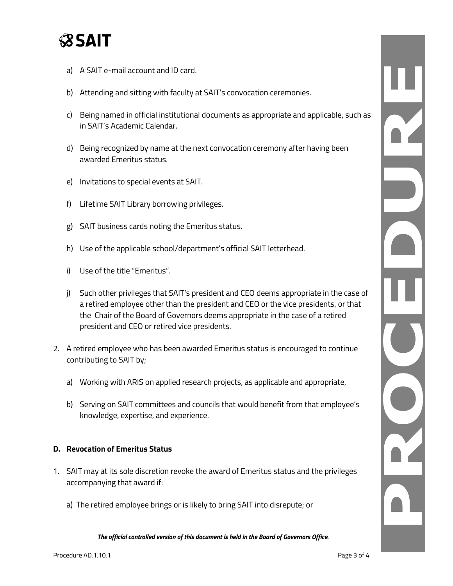

- a) A SAIT e-mail account and ID card.
- b) Attending and sitting with faculty at SAIT's convocation ceremonies.
- c) Being named in official institutional documents as appropriate and applicable, such as in SAIT's Academic Calendar.
- d) Being recognized by name at the next convocation ceremony after having been awarded Emeritus status.
- e) Invitations to special events at SAIT.
- f) Lifetime SAIT Library borrowing privileges.
- g) SAIT business cards noting the Emeritus status.
- h) Use of the applicable school/department's official SAIT letterhead.
- i) Use of the title "Emeritus".
- j) Such other privileges that SAIT's president and CEO deems appropriate in the case of a retired employee other than the president and CEO or the vice presidents, or that the Chair of the Board of Governors deems appropriate in the case of a retired president and CEO or retired vice presidents.
- 2. A retired employee who has been awarded Emeritus status is encouraged to continue contributing to SAIT by;
	- a) Working with ARIS on applied research projects, as applicable and appropriate,
	- b) Serving on SAIT committees and councils that would benefit from that employee's knowledge, expertise, and experience.

#### **D. Revocation of Emeritus Status**

- 1. SAIT may at its sole discretion revoke the award of Emeritus status and the privileges accompanying that award if:
	- a) The retired employee brings or is likely to bring SAIT into disrepute; or

*The official controlled version of this document is held in the Board of Governors Office.*

L